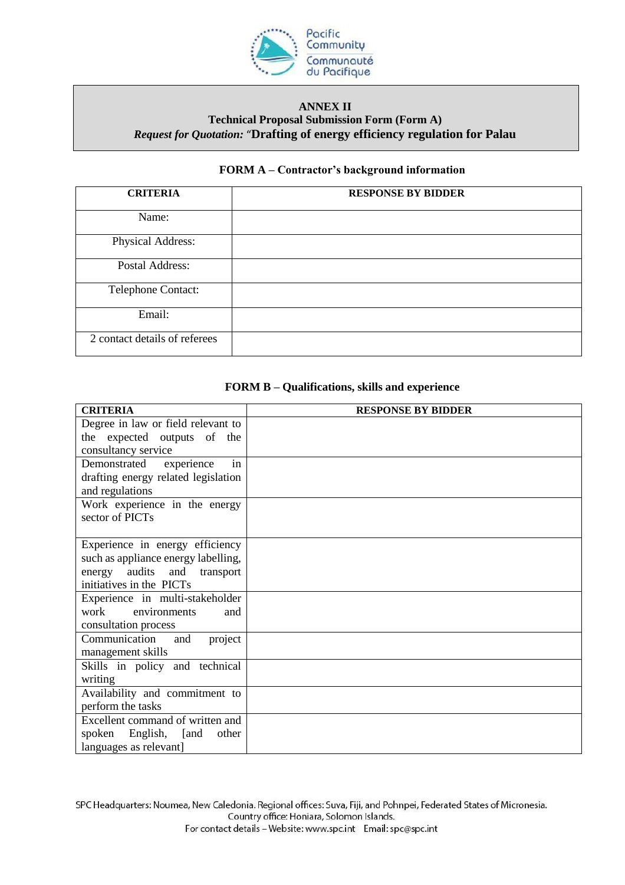

### **ANNEX II Technical Proposal Submission Form (Form A)** *Request for Quotation:* "**Drafting of energy efficiency regulation for Palau**

## **FORM A – Contractor's background information**

| <b>CRITERIA</b>               | <b>RESPONSE BY BIDDER</b> |
|-------------------------------|---------------------------|
| Name:                         |                           |
| Physical Address:             |                           |
| Postal Address:               |                           |
| Telephone Contact:            |                           |
| Email:                        |                           |
| 2 contact details of referees |                           |

# **FORM B – Qualifications, skills and experience**

| <b>CRITERIA</b>                     | <b>RESPONSE BY BIDDER</b> |
|-------------------------------------|---------------------------|
| Degree in law or field relevant to  |                           |
| the expected outputs of the         |                           |
| consultancy service                 |                           |
| in<br>experience<br>Demonstrated    |                           |
| drafting energy related legislation |                           |
| and regulations                     |                           |
| Work experience in the energy       |                           |
| sector of PICTs                     |                           |
|                                     |                           |
| Experience in energy efficiency     |                           |
| such as appliance energy labelling, |                           |
| energy audits and transport         |                           |
| initiatives in the PICTs            |                           |
| Experience in multi-stakeholder     |                           |
| work<br>environments<br>and         |                           |
| consultation process                |                           |
| Communication<br>and<br>project     |                           |
| management skills                   |                           |
| Skills in policy and technical      |                           |
| writing                             |                           |
| Availability and commitment to      |                           |
| perform the tasks                   |                           |
| Excellent command of written and    |                           |
| spoken<br>English, [and<br>other    |                           |
| languages as relevant]              |                           |

SPC Headquarters: Noumea, New Caledonia. Regional offices: Suva, Fiji, and Pohnpei, Federated States of Micronesia. Country office: Honiara, Solomon Islands. For contact details - Website: www.spc.int Email: spc@spc.int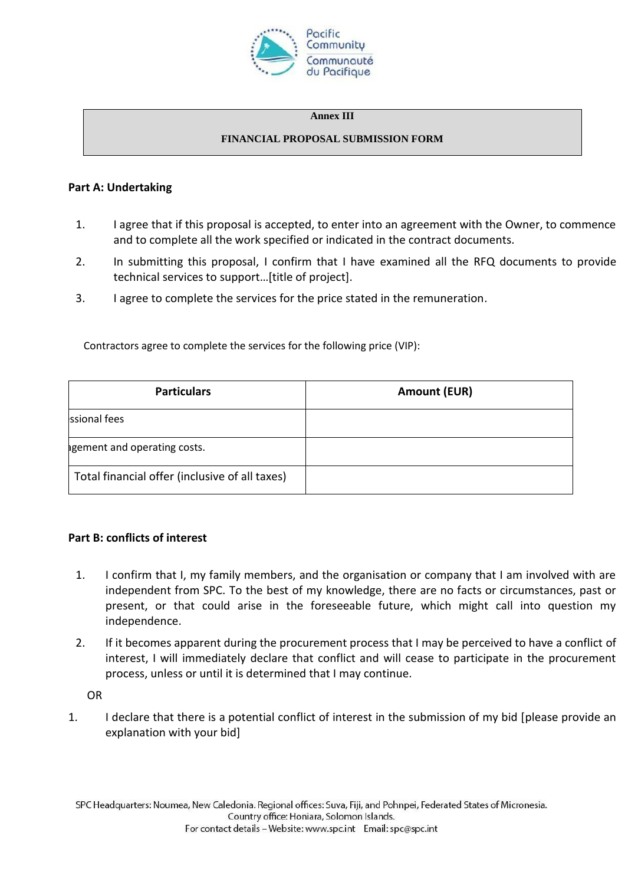

#### **Annex III**

### **FINANCIAL PROPOSAL SUBMISSION FORM**

## **Part A: Undertaking**

- 1. I agree that if this proposal is accepted, to enter into an agreement with the Owner, to commence and to complete all the work specified or indicated in the contract documents.
- 2. In submitting this proposal, I confirm that I have examined all the RFQ documents to provide technical services to support…[title of project].
- 3. I agree to complete the services for the price stated in the remuneration.

Contractors agree to complete the services for the following price (VIP):

| <b>Particulars</b>                             | <b>Amount (EUR)</b> |
|------------------------------------------------|---------------------|
| ssional fees                                   |                     |
| agement and operating costs.                   |                     |
| Total financial offer (inclusive of all taxes) |                     |

# **Part B: conflicts of interest**

- 1. I confirm that I, my family members, and the organisation or company that I am involved with are independent from SPC. To the best of my knowledge, there are no facts or circumstances, past or present, or that could arise in the foreseeable future, which might call into question my independence.
- 2. If it becomes apparent during the procurement process that I may be perceived to have a conflict of interest, I will immediately declare that conflict and will cease to participate in the procurement process, unless or until it is determined that I may continue.

OR

1. I declare that there is a potential conflict of interest in the submission of my bid [please provide an explanation with your bid]